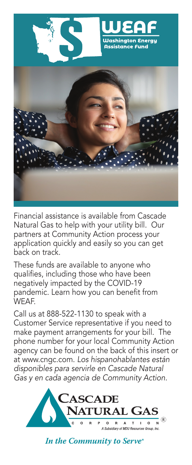

Financial assistance is available from Cascade Natural Gas to help with your utility bill. Our partners at Community Action process your application quickly and easily so you can get back on track.

These funds are available to anyone who qualifies, including those who have been negatively impacted by the COVID-19 pandemic. Learn how you can benefit from WEAF.

Call us at 888-522-1130 to speak with a Customer Service representative if you need to make payment arrangements for your bill. The phone number for your local Community Action agency can be found on the back of this insert or at www.cngc.com. *Los hispanohablantes están disponibles para servirle en Cascade Natural Gas y en cada agencia de Community Action.*



In the Community to Serve®